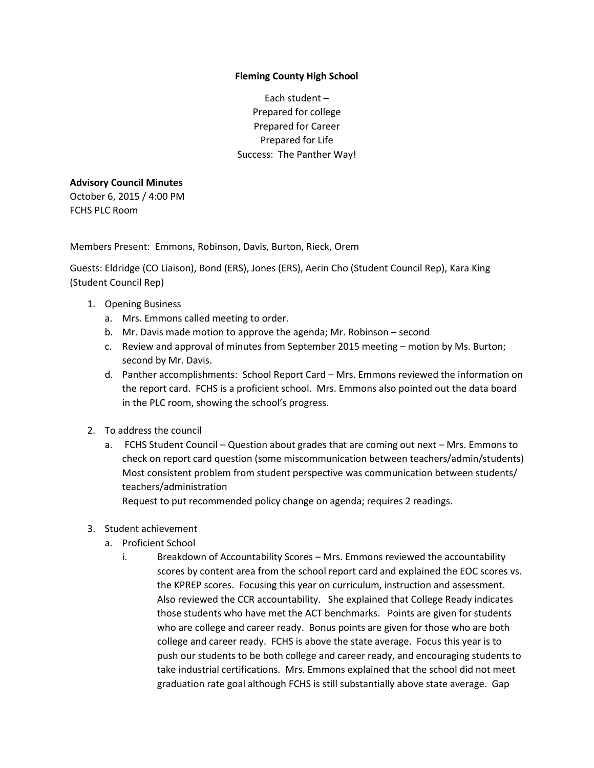## **Fleming County High School**

Each student – Prepared for college Prepared for Career Prepared for Life Success: The Panther Way!

## **Advisory Council Minutes**

October 6, 2015 / 4:00 PM FCHS PLC Room

Members Present: Emmons, Robinson, Davis, Burton, Rieck, Orem

Guests: Eldridge (CO Liaison), Bond (ERS), Jones (ERS), Aerin Cho (Student Council Rep), Kara King (Student Council Rep)

- 1. Opening Business
	- a. Mrs. Emmons called meeting to order.
	- b. Mr. Davis made motion to approve the agenda; Mr. Robinson second
	- c. Review and approval of minutes from September 2015 meeting motion by Ms. Burton; second by Mr. Davis.
	- d. Panther accomplishments: School Report Card Mrs. Emmons reviewed the information on the report card. FCHS is a proficient school. Mrs. Emmons also pointed out the data board in the PLC room, showing the school's progress.
- 2. To address the council
	- a. FCHS Student Council Question about grades that are coming out next Mrs. Emmons to check on report card question (some miscommunication between teachers/admin/students) Most consistent problem from student perspective was communication between students/ teachers/administration

Request to put recommended policy change on agenda; requires 2 readings.

- 3. Student achievement
	- a. Proficient School
		- i. Breakdown of Accountability Scores Mrs. Emmons reviewed the accountability scores by content area from the school report card and explained the EOC scores vs. the KPREP scores. Focusing this year on curriculum, instruction and assessment. Also reviewed the CCR accountability. She explained that College Ready indicates those students who have met the ACT benchmarks. Points are given for students who are college and career ready. Bonus points are given for those who are both college and career ready. FCHS is above the state average. Focus this year is to push our students to be both college and career ready, and encouraging students to take industrial certifications. Mrs. Emmons explained that the school did not meet graduation rate goal although FCHS is still substantially above state average. Gap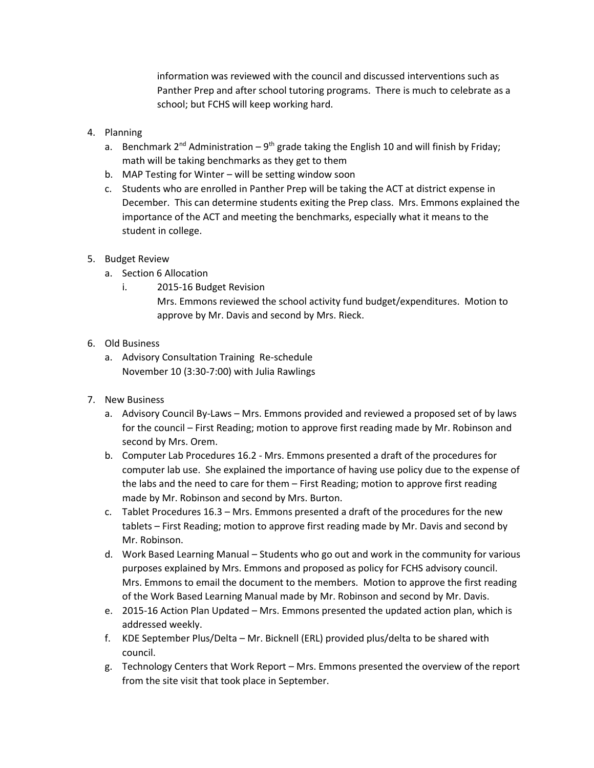information was reviewed with the council and discussed interventions such as Panther Prep and after school tutoring programs. There is much to celebrate as a school; but FCHS will keep working hard.

- 4. Planning
	- a. Benchmark 2<sup>nd</sup> Administration 9<sup>th</sup> grade taking the English 10 and will finish by Friday; math will be taking benchmarks as they get to them
	- b. MAP Testing for Winter will be setting window soon
	- c. Students who are enrolled in Panther Prep will be taking the ACT at district expense in December. This can determine students exiting the Prep class. Mrs. Emmons explained the importance of the ACT and meeting the benchmarks, especially what it means to the student in college.
- 5. Budget Review
	- a. Section 6 Allocation
		- i. 2015-16 Budget Revision

```
Mrs. Emmons reviewed the school activity fund budget/expenditures. Motion to 
approve by Mr. Davis and second by Mrs. Rieck.
```
- 6. Old Business
	- a. Advisory Consultation Training Re-schedule November 10 (3:30-7:00) with Julia Rawlings
- 7. New Business
	- a. Advisory Council By-Laws Mrs. Emmons provided and reviewed a proposed set of by laws for the council – First Reading; motion to approve first reading made by Mr. Robinson and second by Mrs. Orem.
	- b. Computer Lab Procedures 16.2 Mrs. Emmons presented a draft of the procedures for computer lab use. She explained the importance of having use policy due to the expense of the labs and the need to care for them – First Reading; motion to approve first reading made by Mr. Robinson and second by Mrs. Burton.
	- c. Tablet Procedures 16.3 Mrs. Emmons presented a draft of the procedures for the new tablets – First Reading; motion to approve first reading made by Mr. Davis and second by Mr. Robinson.
	- d. Work Based Learning Manual Students who go out and work in the community for various purposes explained by Mrs. Emmons and proposed as policy for FCHS advisory council. Mrs. Emmons to email the document to the members. Motion to approve the first reading of the Work Based Learning Manual made by Mr. Robinson and second by Mr. Davis.
	- e. 2015-16 Action Plan Updated Mrs. Emmons presented the updated action plan, which is addressed weekly.
	- f. KDE September Plus/Delta Mr. Bicknell (ERL) provided plus/delta to be shared with council.
	- g. Technology Centers that Work Report Mrs. Emmons presented the overview of the report from the site visit that took place in September.